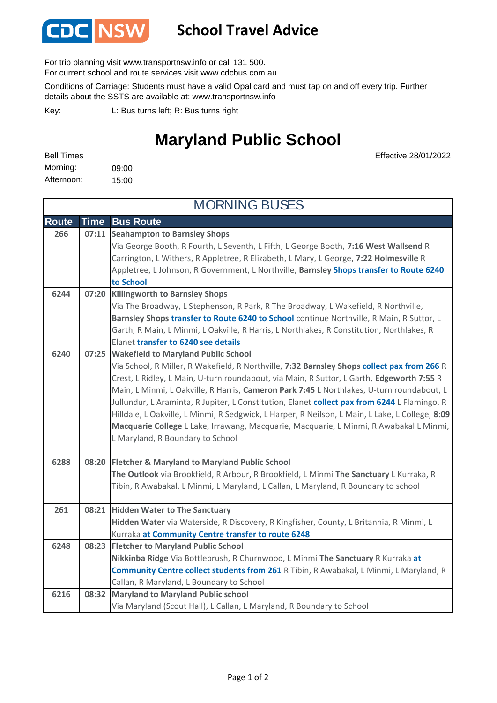

## **School Travel Advice**

For trip planning visit www.transportnsw.info or call 131 500.

For current school and route services visit www.cdcbus.com.au

Conditions of Carriage: Students must have a valid Opal card and must tap on and off every trip. Further details about the SSTS are available at: www.transportnsw.info

L: Bus turns left; R: Bus turns right Key:

## **Maryland Public School**

Effective 28/01/2022

| <b>Bell Times</b> |       |
|-------------------|-------|
| Morning:          | 09:00 |
| Afternoon:        | 15:00 |

**Route Time Bus Route Seahampton to Barnsley Shops**  Via George Booth, R Fourth, L Seventh, L Fifth, L George Booth, **7:16 West Wallsend** R Carrington, L Withers, R Appletree, R Elizabeth, L Mary, L George, **7:22 Holmesville** R Appletree, L Johnson, R Government, L Northville, **Barnsley Shops transfer to Route 6240 to School Killingworth to Barnsley Shops** Via The Broadway, L Stephenson, R Park, R The Broadway, L Wakefield, R Northville, **Barnsley Shops transfer to Route 6240 to School** continue Northville, R Main, R Suttor, L Garth, R Main, L Minmi, L Oakville, R Harris, L Northlakes, R Constitution, Northlakes, R Elanet **transfer to 6240 see details Wakefield to Maryland Public School** Via School, R Miller, R Wakefield, R Northville, **7:32 Barnsley Shops collect pax from 266** R Crest, L Ridley, L Main, U-turn roundabout, via Main, R Suttor, L Garth, **Edgeworth 7:55** R Main, L Minmi, L Oakville, R Harris, **Cameron Park 7:45** L Northlakes, U-turn roundabout, L Jullundur, L Araminta, R Jupiter, L Constitution, Elanet **collect pax from 6244** L Flamingo, R Hilldale, L Oakville, L Minmi, R Sedgwick, L Harper, R Neilson, L Main, L Lake, L College, **8:09 Macquarie College** L Lake, Irrawang, Macquarie, Macquarie, L Minmi, R Awabakal L Minmi, L Maryland, R Boundary to School **Fletcher & Maryland to Maryland Public School 6288 08:20 The Outlook** via Brookfield, R Arbour, R Brookfield, L Minmi **The Sanctuary** L Kurraka, R Tibin, R Awabakal, L Minmi, L Maryland, L Callan, L Maryland, R Boundary to school **Hidden Water to The Sanctuary Hidden Water** via Waterside, R Discovery, R Kingfisher, County, L Britannia, R Minmi, L Kurraka **at Community Centre transfer to route 6248 Fletcher to Maryland Public School Nikkinba Ridge** Via Bottlebrush, R Churnwood, L Minmi **The Sanctuary** R Kurraka **at Community Centre collect students from 261** R Tibin, R Awabakal, L Minmi, L Maryland, R Callan, R Maryland, L Boundary to School **Maryland to Maryland Public school**  Via Maryland (Scout Hall), L Callan, L Maryland, R Boundary to School **08:23** MORNING BUSES **266 07:11 6244 07:20 261 08:21 6240 07:25 6216 08:32 6248**